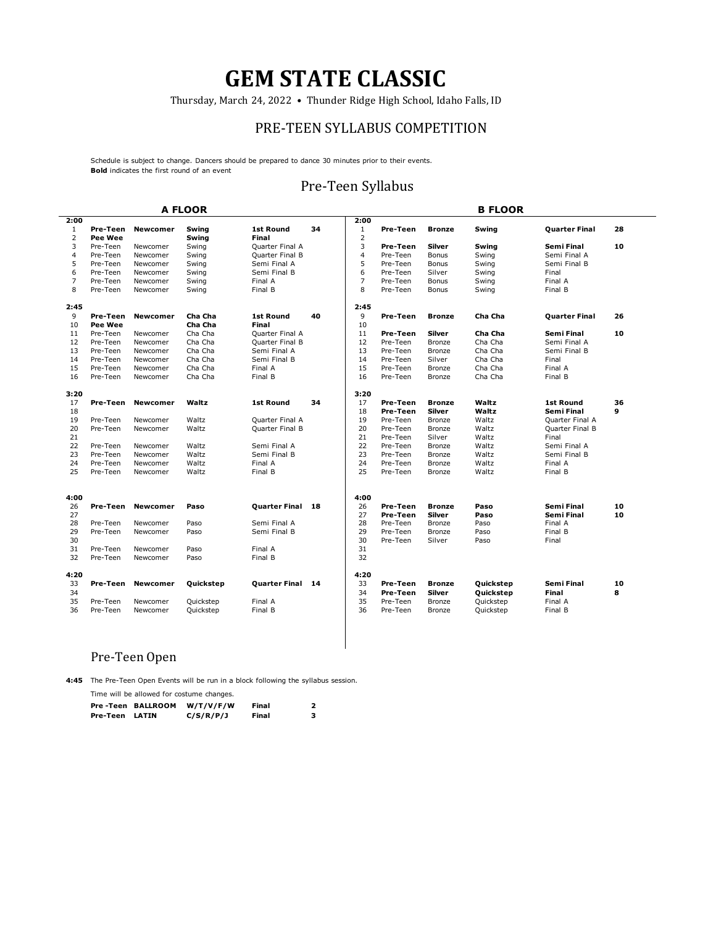Thursday, March 24, 2022 • Thunder Ridge High School, Idaho Falls, ID

#### PRE-TEEN SYLLABUS COMPETITION

Schedule is subject to change. Dancers should be prepared to dance 30 minutes prior to their events. **Bold** indicates the first round of an event

#### Pre-Teen Syllabus

|                         |                |                 | <b>A FLOOR</b> |                         |    |                         |                      |                         | <b>B FLOOR</b>         |                       |         |
|-------------------------|----------------|-----------------|----------------|-------------------------|----|-------------------------|----------------------|-------------------------|------------------------|-----------------------|---------|
| 2:00                    |                |                 |                |                         |    | 2:00                    |                      |                         |                        |                       |         |
| $\mathbf{1}$            | Pre-Teen       | <b>Newcomer</b> | Swing          | <b>1st Round</b>        | 34 | 1                       | Pre-Teen             | <b>Bronze</b>           | Swing                  | <b>Quarter Final</b>  | 28      |
| $\overline{2}$          | <b>Pee Wee</b> |                 | Swing          | Final                   |    | $\overline{2}$          |                      |                         |                        |                       |         |
| 3                       | Pre-Teen       | Newcomer        | Swing          | Quarter Final A         |    | 3                       | Pre-Teen             | Silver                  | Swing                  | Semi Final            | 10      |
| $\overline{\mathbf{4}}$ | Pre-Teen       | Newcomer        | Swing          | Quarter Final B         |    | $\overline{\mathbf{4}}$ | Pre-Teen             | Bonus                   | Swing                  | Semi Final A          |         |
| 5                       | Pre-Teen       | Newcomer        | Swing          | Semi Final A            |    | 5                       | Pre-Teen             | Bonus                   | Swing                  | Semi Final B          |         |
| 6                       | Pre-Teen       | Newcomer        | Swing          | Semi Final B            |    | 6                       | Pre-Teen             | Silver                  | Swing                  | Final                 |         |
| $\overline{7}$          | Pre-Teen       | Newcomer        | Swing          | Final A                 |    | $\overline{7}$          | Pre-Teen             | Bonus                   | Swing                  | Final A               |         |
| 8                       | Pre-Teen       | Newcomer        | Swing          | Final B                 |    | 8                       | Pre-Teen             | Bonus                   | Swing                  | Final B               |         |
| 2:45                    |                |                 |                |                         |    | 2:45                    |                      |                         |                        |                       |         |
| 9                       | Pre-Teen       | <b>Newcomer</b> | Cha Cha        | <b>1st Round</b>        | 40 | 9                       | Pre-Teen             | <b>Bronze</b>           | Cha Cha                | Quarter Final         | 26      |
| 10                      | <b>Pee Wee</b> |                 | Cha Cha        | Final                   |    | 10                      |                      |                         |                        |                       |         |
| 11                      | Pre-Teen       | Newcomer        | Cha Cha        | Quarter Final A         |    | 11                      | Pre-Teen             | Silver                  | Cha Cha                | Semi Final            | 10      |
| 12                      | Pre-Teen       | Newcomer        | Cha Cha        | Quarter Final B         |    | 12                      | Pre-Teen             | Bronze                  | Cha Cha                | Semi Final A          |         |
| 13                      | Pre-Teen       | Newcomer        | Cha Cha        | Semi Final A            |    | 13                      | Pre-Teen             | Bronze                  | Cha Cha                | Semi Final B          |         |
| 14                      | Pre-Teen       | Newcomer        | Cha Cha        | Semi Final B            |    | 14                      | Pre-Teen             | Silver                  | Cha Cha                | Final                 |         |
| 15                      | Pre-Teen       | Newcomer        | Cha Cha        | Final A                 |    | 15                      | Pre-Teen             | Bronze                  | Cha Cha                | Final A               |         |
| 16                      | Pre-Teen       | Newcomer        | Cha Cha        | Final B                 |    | 16                      | Pre-Teen             | Bronze                  | Cha Cha                | Final B               |         |
| 3:20                    |                |                 |                |                         |    | 3:20                    |                      |                         |                        |                       |         |
| 17                      | Pre-Teen       | <b>Newcomer</b> | Waltz          | <b>1st Round</b>        | 34 | 17                      | Pre-Teen             | <b>Bronze</b>           | Waltz                  | <b>1st Round</b>      | 36      |
| 18                      |                |                 |                |                         |    | 18                      | Pre-Teen             | Silver                  | Waltz                  | Semi Final            | 9       |
| 19                      | Pre-Teen       | Newcomer        | Waltz          | Quarter Final A         |    | 19                      | Pre-Teen             | <b>Bronze</b>           | Waltz                  | Quarter Final A       |         |
| 20                      | Pre-Teen       | Newcomer        | Waltz          | Quarter Final B         |    | 20                      | Pre-Teen             | Bronze                  | Waltz                  | Quarter Final B       |         |
| 21                      |                |                 |                |                         |    | 21                      | Pre-Teen             | Silver                  | Waltz                  | Final                 |         |
| 22                      | Pre-Teen       | Newcomer        | Waltz          | Semi Final A            |    | 22                      | Pre-Teen             | Bronze                  | Waltz                  | Semi Final A          |         |
| 23                      | Pre-Teen       | Newcomer        | Waltz          | Semi Final B            |    | 23                      | Pre-Teen             | Bronze                  | Waltz                  | Semi Final B          |         |
| 24                      | Pre-Teen       | Newcomer        | Waltz          | Final A                 |    | 24                      | Pre-Teen             | Bronze                  | Waltz                  | Final A               |         |
| 25                      | Pre-Teen       | Newcomer        | Waltz          | Final B                 |    | 25                      | Pre-Teen             | Bronze                  | Waltz                  | Final B               |         |
|                         |                |                 |                |                         |    |                         |                      |                         |                        |                       |         |
| 4:00<br>26              | Pre-Teen       | <b>Newcomer</b> | Paso           | <b>Quarter Final 18</b> |    | 4:00<br>26              | Pre-Teen             | <b>Bronze</b>           | Paso                   | Semi Final            | 10      |
| 27                      |                |                 |                |                         |    |                         | Pre-Teen             | Silver                  |                        |                       | 10      |
| 28                      | Pre-Teen       | Newcomer        | Paso           | Semi Final A            |    | 27<br>28                | Pre-Teen             | Bronze                  | Paso<br>Paso           | Semi Final<br>Final A |         |
| 29                      | Pre-Teen       | Newcomer        | Paso           | Semi Final B            |    | 29                      | Pre-Teen             | Bronze                  | Paso                   | Final B               |         |
| 30                      |                |                 |                |                         |    | 30                      | Pre-Teen             | Silver                  | Paso                   | Final                 |         |
| 31                      | Pre-Teen       | Newcomer        | Paso           | Final A                 |    | 31                      |                      |                         |                        |                       |         |
| 32                      | Pre-Teen       | Newcomer        | Paso           | Final B                 |    | 32                      |                      |                         |                        |                       |         |
|                         |                |                 |                |                         |    |                         |                      |                         |                        |                       |         |
| 4:20                    |                |                 |                |                         |    | 4:20                    |                      |                         |                        |                       |         |
| 33<br>34                | Pre-Teen       | <b>Newcomer</b> | Quickstep      | <b>Quarter Final 14</b> |    | 33<br>34                | Pre-Teen<br>Pre-Teen | <b>Bronze</b><br>Silver | Quickstep<br>Quickstep | Semi Final<br>Final   | 10<br>8 |
| 35                      | Pre-Teen       | Newcomer        | Quickstep      | Final A                 |    | 35                      | Pre-Teen             | Bronze                  | Quickstep              | Final A               |         |
| 36                      | Pre-Teen       | Newcomer        | Quickstep      | Final B                 |    | 36                      | Pre-Teen             | Bronze                  | Quickstep              | Final B               |         |
|                         |                |                 |                |                         |    |                         |                      |                         |                        |                       |         |

#### Pre-Teen Open

**4:45** The Pre-Teen Open Events will be run in a block following the syllabus session. Time will be allowed for costume changes.

|                | Pre-Teen BALLROOM | W/T/V/F/W | Final |  |
|----------------|-------------------|-----------|-------|--|
| Pre-Teen LATIN |                   | C/S/R/P/J | Final |  |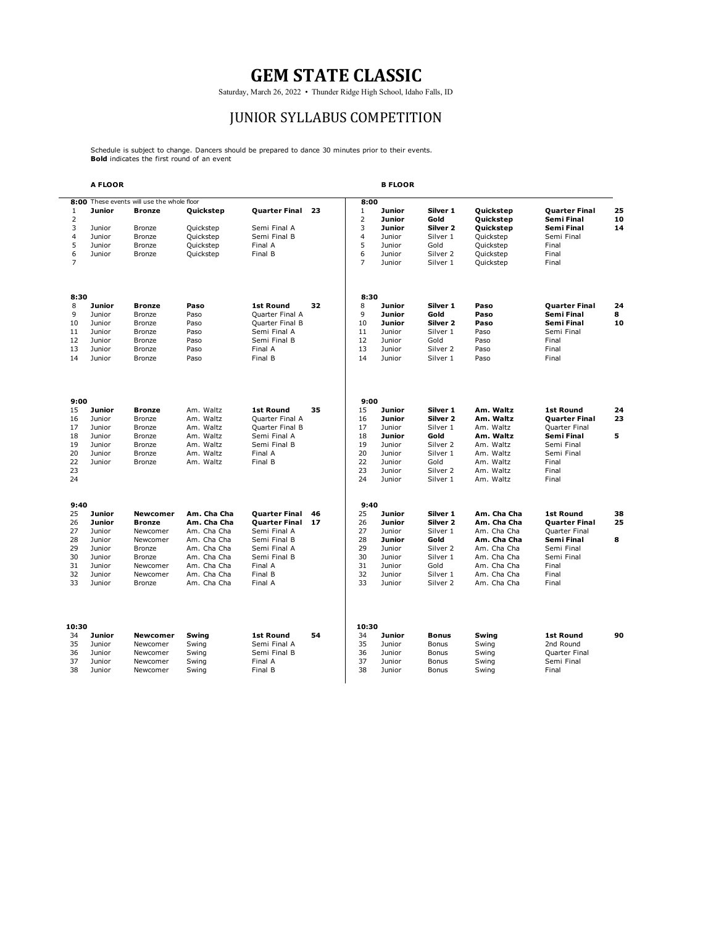Saturday, March 26, 2022 • Thunder Ridge High School, Idaho Falls, ID

# JUNIOR SYLLABUS COMPETITION

Schedule is subject to change. Dancers should be prepared to dance 30 minutes prior to their events. **Bold** indicates the first round of an event

|                     | A FLOOR          |                                            |                            |                              |    |                                | <b>B FLOOR</b>          |                     |                            |                                    |          |
|---------------------|------------------|--------------------------------------------|----------------------------|------------------------------|----|--------------------------------|-------------------------|---------------------|----------------------------|------------------------------------|----------|
|                     |                  | 8:00 These events will use the whole floor |                            |                              |    | 8:00                           |                         |                     |                            |                                    |          |
| 1<br>$\overline{2}$ | Junior           | <b>Bronze</b>                              | Quickstep                  | <b>Quarter Final</b>         | 23 | $\mathbf{1}$<br>$\overline{2}$ | Junior<br><b>Junior</b> | Silver 1<br>Gold    | Quickstep<br>Quickstep     | <b>Quarter Final</b><br>Semi Final | 25<br>10 |
| 3                   | Junior           | Bronze                                     | Quickstep                  | Semi Final A                 |    | 3                              | Junior                  | Silver <sub>2</sub> | Quickstep                  | Semi Final                         | 14       |
| 4                   | Junior           | Bronze                                     | Quickstep                  | Semi Final B                 |    | $\overline{4}$                 | Junior                  | Silver 1            | Quickstep                  | Semi Final                         |          |
| 5                   | Junior           | Bronze                                     | Quickstep                  | Final A                      |    | 5                              | Junior                  | Gold                | Quickstep                  | Final                              |          |
| 6                   | Junior           | Bronze                                     | Quickstep                  | Final B                      |    | 6                              | Junior                  | Silver 2            | Quickstep                  | Final                              |          |
| $\overline{7}$      |                  |                                            |                            |                              |    | $\overline{7}$                 | Junior                  | Silver 1            | Quickstep                  | Final                              |          |
| 8:30                |                  |                                            |                            |                              |    | 8:30                           |                         |                     |                            |                                    |          |
| 8                   | Junior           | <b>Bronze</b>                              | Paso                       | <b>1st Round</b>             | 32 | 8                              | <b>Junior</b>           | Silver 1            | Paso                       | <b>Quarter Final</b>               | 24       |
| 9                   | Junior           | <b>Bronze</b>                              | Paso                       | <b>Ouarter Final A</b>       |    | 9                              | <b>Junior</b>           | Gold                | Paso                       | Semi Final                         | 8        |
| 10                  | Junior           | Bronze                                     | Paso                       | Quarter Final B              |    | 10                             | Junior                  | Silver <sub>2</sub> | Paso                       | Semi Final                         | 10       |
| 11                  | Junior           | Bronze                                     | Paso                       | Semi Final A                 |    | 11                             | Junior                  | Silver 1            | Paso                       | Semi Final                         |          |
| 12                  | Junior           | Bronze                                     | Paso                       | Semi Final B                 |    | 12                             | Junior                  | Gold                | Paso                       | Final                              |          |
| 13                  | Junior           | Bronze                                     | Paso                       | Final A                      |    | 13                             | Junior                  | Silver 2            | Paso                       | Final                              |          |
| 14                  | Junior           | Bronze                                     | Paso                       | Final B                      |    | 14                             | Junior                  | Silver 1            | Paso                       | Final                              |          |
|                     |                  |                                            |                            |                              |    |                                |                         |                     |                            |                                    |          |
| 9:00                |                  |                                            |                            |                              |    | 9:00                           |                         |                     |                            |                                    |          |
| 15                  | <b>Junior</b>    | <b>Bronze</b>                              | Am. Waltz                  | <b>1st Round</b>             | 35 | 15                             | <b>Junior</b>           | Silver 1            | Am. Waltz                  | <b>1st Round</b>                   | 24       |
| 16                  | Junior           | Bronze                                     | Am. Waltz                  | Quarter Final A              |    | 16                             | Junior                  | Silver <sub>2</sub> | Am. Waltz                  | <b>Quarter Final</b>               | 23       |
| 17                  | Junior           | Bronze                                     | Am. Waltz                  | Quarter Final B              |    | 17<br>18                       | Junior                  | Silver 1<br>Gold    | Am. Waltz<br>Am. Waltz     | Quarter Final<br>Semi Final        | 5        |
| 18<br>19            | Junior<br>Junior | Bronze<br>Bronze                           | Am. Waltz<br>Am. Waltz     | Semi Final A<br>Semi Final B |    | 19                             | Junior<br>Junior        | Silver <sub>2</sub> | Am. Waltz                  | Semi Final                         |          |
| 20                  | Junior           | <b>Bronze</b>                              | Am. Waltz                  | Final A                      |    | 20                             | Junior                  | Silver 1            | Am. Waltz                  | Semi Final                         |          |
| 22                  | Junior           | <b>Bronze</b>                              | Am. Waltz                  | Final B                      |    | 22                             | Junior                  | Gold                | Am. Waltz                  | Final                              |          |
| 23                  |                  |                                            |                            |                              |    | 23                             | Junior                  | Silver 2            | Am. Waltz                  | Final                              |          |
| 24                  |                  |                                            |                            |                              |    | 24                             | Junior                  | Silver 1            | Am. Waltz                  | Final                              |          |
| 9:40                |                  |                                            |                            |                              |    | 9:40                           |                         |                     |                            |                                    |          |
| 25                  | <b>Junior</b>    | <b>Newcomer</b>                            | Am. Cha Cha                | Quarter Final                | 46 | 25                             | Junior                  | Silver 1            | Am. Cha Cha                | <b>1st Round</b>                   | 38       |
| 26                  | <b>Junior</b>    | <b>Bronze</b>                              | Am. Cha Cha                | <b>Quarter Final</b>         | 17 | 26                             | <b>Junior</b>           | Silver <sub>2</sub> | Am. Cha Cha                | <b>Quarter Final</b>               | 25       |
| 27                  | Junior           | Newcomer                                   | Am. Cha Cha                | Semi Final A                 |    | 27                             | Junior                  | Silver 1            | Am. Cha Cha                | Quarter Final                      |          |
| 28                  | Junior           | Newcomer                                   | Am. Cha Cha                | Semi Final B                 |    | 28<br>29                       | Junior                  | Gold                | Am. Cha Cha                | Semi Final                         | 8        |
| 29                  | Junior           | Bronze                                     | Am. Cha Cha                | Semi Final A                 |    |                                | Junior                  | Silver 2            | Am. Cha Cha                | Semi Final                         |          |
| 30                  | Junior           | <b>Bronze</b>                              | Am. Cha Cha                | Semi Final B                 |    | 30                             | Junior                  | Silver 1            | Am. Cha Cha                | Semi Final                         |          |
| 31<br>32            | Junior<br>Junior | Newcomer<br>Newcomer                       | Am. Cha Cha<br>Am. Cha Cha | Final A<br>Final B           |    | 31<br>32                       | Junior<br>Junior        | Gold<br>Silver 1    | Am. Cha Cha<br>Am. Cha Cha | Final<br>Final                     |          |
| 33                  | Junior           | Bronze                                     | Am. Cha Cha                | Final A                      |    | 33                             | Junior                  | Silver 2            | Am. Cha Cha                | Final                              |          |
|                     |                  |                                            |                            |                              |    |                                |                         |                     |                            |                                    |          |
| 10:30               |                  |                                            |                            |                              |    | 10:30                          |                         |                     |                            |                                    |          |
| 34                  | <b>Junior</b>    | <b>Newcomer</b>                            | Swing                      | <b>1st Round</b>             | 54 | 34                             | Junior                  | <b>Bonus</b>        | Swing                      | <b>1st Round</b>                   | 90       |
| 35                  | Junior           | Newcomer                                   | Swing                      | Semi Final A                 |    | 35                             | Junior                  | Bonus               | Swing                      | 2nd Round                          |          |
| 36                  | Junior           | Newcomer                                   | Swing                      | Semi Final B                 |    | 36                             | Junior                  | Bonus               | Swing                      | Quarter Final                      |          |
| 37                  | Junior           | Newcomer                                   | Swing                      | Final A                      |    | 37                             | Junior                  | Bonus               | Swing                      | Semi Final                         |          |
| 38                  | Junior           | Newcomer                                   | Swing                      | Final B                      |    | 38                             | Junior                  | Bonus               | Swing                      | Final                              |          |
|                     |                  |                                            |                            |                              |    |                                |                         |                     |                            |                                    |          |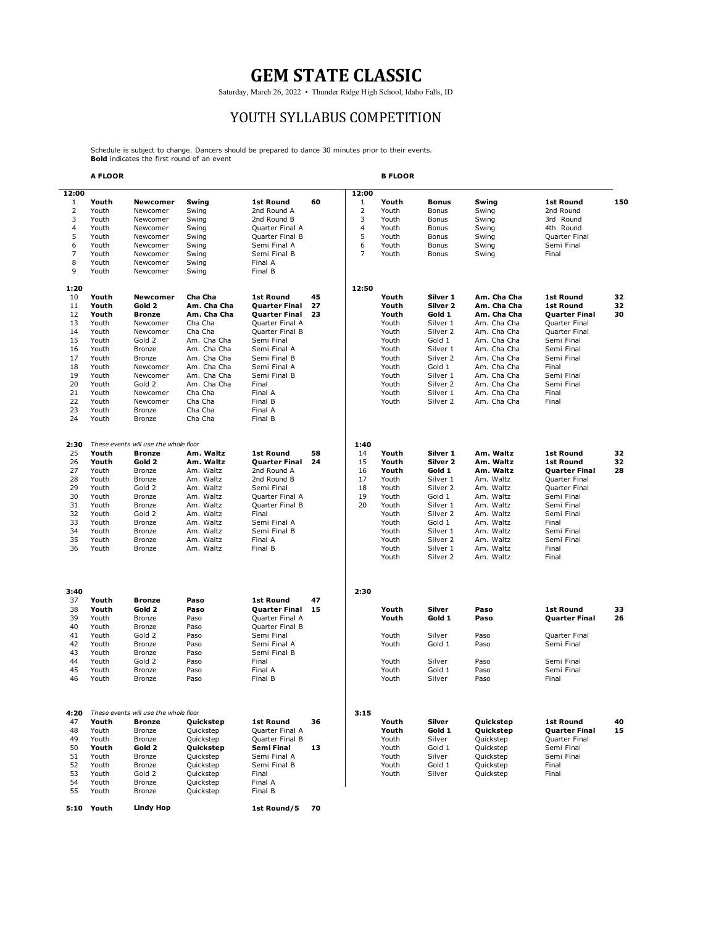Saturday, March 26, 2022 • Thunder Ridge High School, Idaho Falls, ID

#### YOUTH SYLLABUS COMPETITION

Schedule is subject to change. Dancers should be prepared to dance 30 minutes prior to their events. **Bold** indicates the first round of an event

**5:10 Youth 1st Round/5 70**

**Lindy Hop**

|                | A FLOOR        |                                       |                        |                                    |    |                | <b>B FLOOR</b> |                                 |                        |                          |     |
|----------------|----------------|---------------------------------------|------------------------|------------------------------------|----|----------------|----------------|---------------------------------|------------------------|--------------------------|-----|
| 12:00          |                |                                       |                        |                                    |    | 12:00          |                |                                 |                        |                          |     |
| $\mathbf{1}$   | Youth          | Newcomer                              | Swing                  | 1st Round                          | 60 | $\mathbf{1}$   | Youth          | <b>Bonus</b>                    | Swing                  | <b>1st Round</b>         | 150 |
| $\overline{2}$ | Youth          | Newcomer                              | Swing                  | 2nd Round A                        |    | 2              | Youth          | Bonus                           | Swing                  | 2nd Round                |     |
| 3              | Youth          | Newcomer                              | Swing                  | 2nd Round B                        |    | 3              | Youth          | Bonus                           | Swing                  | 3rd Round                |     |
| 4              | Youth          | Newcomer                              | Swing                  | Quarter Final A                    |    | 4              | Youth          | Bonus                           | Swing                  | 4th Round                |     |
| 5              | Youth          | Newcomer                              | Swing                  | Quarter Final B                    |    | 5              | Youth          | Bonus                           | Swing                  | Quarter Final            |     |
| 6              | Youth          | Newcomer                              | Swing                  | Semi Final A                       |    | 6              | Youth          | Bonus                           | Swing                  | Semi Final               |     |
| 7              | Youth          | Newcomer                              | Swing                  | Semi Final B                       |    | $\overline{7}$ | Youth          | Bonus                           | Swing                  | Final                    |     |
| 8              | Youth          | Newcomer                              | Swing                  | Final A                            |    |                |                |                                 |                        |                          |     |
| 9              | Youth          | Newcomer                              | Swing                  | Final B                            |    |                |                |                                 |                        |                          |     |
| 1:20           |                |                                       |                        |                                    |    | 12:50          |                |                                 |                        |                          |     |
| 10             | Youth          | <b>Newcomer</b>                       | Cha Cha                | <b>1st Round</b>                   | 45 |                | Youth          | Silver 1                        | Am. Cha Cha            | <b>1st Round</b>         | 32  |
| 11             | Youth          | Gold 2                                | Am. Cha Cha            | <b>Quarter Final</b>               | 27 |                | Youth          | Silver 2                        | Am. Cha Cha            | <b>1st Round</b>         | 32  |
| 12             | Youth          | <b>Bronze</b>                         | Am. Cha Cha            | Quarter Final                      | 23 |                | Youth          | Gold 1                          | Am. Cha Cha            | <b>Quarter Final</b>     | 30  |
| 13             | Youth          | Newcomer                              | Cha Cha                | Quarter Final A                    |    |                | Youth          | Silver 1                        | Am. Cha Cha            | Quarter Final            |     |
| 14             | Youth          | Newcomer                              | Cha Cha                | Quarter Final B                    |    |                | Youth          | Silver 2                        | Am. Cha Cha            | Quarter Final            |     |
| 15             | Youth          | Gold 2                                | Am. Cha Cha            | Semi Final                         |    |                | Youth          | Gold 1                          | Am. Cha Cha            | Semi Final               |     |
| 16             | Youth          | Bronze                                | Am. Cha Cha            | Semi Final A                       |    |                | Youth          | Silver 1                        | Am. Cha Cha            | Semi Final               |     |
| 17             | Youth          | <b>Bronze</b>                         | Am. Cha Cha            | Semi Final B                       |    |                | Youth          | Silver <sub>2</sub>             | Am. Cha Cha            | Semi Final               |     |
| 18             | Youth          | Newcomer                              | Am. Cha Cha            | Semi Final A                       |    |                | Youth          | Gold 1                          | Am. Cha Cha            | Final                    |     |
| 19             | Youth          | Newcomer                              | Am. Cha Cha            | Semi Final B                       |    |                | Youth          | Silver 1                        | Am. Cha Cha            | Semi Final               |     |
| 20             | Youth          | Gold 2                                | Am. Cha Cha            | Final                              |    |                | Youth          | Silver 2                        | Am. Cha Cha            | Semi Final               |     |
| 21             | Youth          | Newcomer                              | Cha Cha                | Final A                            |    |                | Youth          | Silver 1                        | Am. Cha Cha            | Final                    |     |
| 22             | Youth          | Newcomer                              | Cha Cha                | Final B                            |    |                | Youth          | Silver 2                        | Am. Cha Cha            | Final                    |     |
| 23             | Youth          | Bronze                                | Cha Cha                | Final A                            |    |                |                |                                 |                        |                          |     |
| 24             | Youth          | Bronze                                | Cha Cha                | Final B                            |    |                |                |                                 |                        |                          |     |
|                |                |                                       |                        |                                    |    |                |                |                                 |                        |                          |     |
| 2:30           |                | These events will use the whole floor |                        |                                    |    | 1:40           |                |                                 |                        |                          |     |
| 25             | Youth          | <b>Bronze</b>                         | Am. Waltz              | <b>1st Round</b>                   | 58 | 14             | Youth          | Silver 1                        | Am. Waltz              | <b>1st Round</b>         | 32  |
| 26             | Youth          | Gold 2                                | Am. Waltz              | <b>Quarter Final</b>               | 24 | 15             | Youth          | Silver 2                        | Am. Waltz              | <b>1st Round</b>         | 32  |
| 27             | Youth          | Bronze                                | Am. Waltz              | 2nd Round A                        |    | 16             | Youth          | Gold 1                          | Am. Waltz              | <b>Quarter Final</b>     | 28  |
| 28             | Youth          | Bronze                                | Am. Waltz              | 2nd Round B                        |    | 17             | Youth          | Silver 1                        | Am. Waltz              | Quarter Final            |     |
| 29<br>30       | Youth          | Gold 2                                | Am. Waltz              | Semi Final                         |    | 18<br>19       | Youth          | Silver 2<br>Gold 1              | Am. Waltz              | Quarter Final            |     |
| 31             | Youth          | <b>Bronze</b>                         | Am. Waltz              | Quarter Final A<br>Quarter Final B |    | 20             | Youth          |                                 | Am. Waltz              | Semi Final               |     |
| 32             | Youth          | <b>Bronze</b>                         | Am. Waltz              |                                    |    |                | Youth          | Silver 1<br>Silver 2            | Am. Waltz              | Semi Final               |     |
|                | Youth          | Gold 2                                | Am. Waltz              | Final                              |    |                | Youth          | Gold 1                          | Am. Waltz              | Semi Final               |     |
| 33             | Youth          | Bronze                                | Am. Waltz              | Semi Final A                       |    |                | Youth          |                                 | Am. Waltz              | Final                    |     |
| 34<br>35       | Youth<br>Youth | Bronze                                | Am. Waltz<br>Am. Waltz | Semi Final B<br>Final A            |    |                | Youth          | Silver 1<br>Silver <sub>2</sub> | Am. Waltz<br>Am. Waltz | Semi Final<br>Semi Final |     |
| 36             | Youth          | <b>Bronze</b><br>Bronze               | Am. Waltz              | Final B                            |    |                | Youth<br>Youth | Silver 1                        | Am. Waltz              | Final                    |     |
|                |                |                                       |                        |                                    |    |                | Youth          | Silver <sub>2</sub>             | Am. Waltz              | Final                    |     |
|                |                |                                       |                        |                                    |    |                |                |                                 |                        |                          |     |
| 3:40<br>37     | Youth          | <b>Bronze</b>                         | Paso                   | <b>1st Round</b>                   | 47 | 2:30           |                |                                 |                        |                          |     |
| 38             | Youth          | Gold 2                                | Paso                   | Quarter Final                      | 15 |                | Youth          | Silver                          | Paso                   | <b>1st Round</b>         | 33  |
| 39             | Youth          | Bronze                                | Paso                   | Quarter Final A                    |    |                | Youth          | Gold 1                          | Paso                   | Quarter Final            | 26  |
| 40             | Youth          | Bronze                                | Paso                   | Quarter Final B                    |    |                |                |                                 |                        |                          |     |
| 41             | Youth          | Gold 2                                | Paso                   | Semi Final                         |    |                | Youth          | Silver                          | Paso                   | Quarter Final            |     |
| 42             | Youth          | <b>Bronze</b>                         | Paso                   | Semi Final A                       |    |                | Youth          | Gold 1                          | Paso                   | Semi Final               |     |
| 43             | Youth          | <b>Bronze</b>                         | Paso                   | Semi Final B                       |    |                |                |                                 |                        |                          |     |
| 44             | Youth          | Gold 2                                | Paso                   | Final                              |    |                | Youth          | Silver                          | Paso                   | Semi Final               |     |
| 45             | Youth          | <b>Bronze</b>                         | Paso                   | Final A                            |    |                | Youth          | Gold 1                          | Paso                   | Semi Final               |     |
| 46             | Youth          | Bronze                                | Paso                   | Final B                            |    |                | Youth          | Silver                          | Paso                   | Final                    |     |
|                |                |                                       |                        |                                    |    |                |                |                                 |                        |                          |     |
| 4:20           |                | These events will use the whole floor |                        |                                    |    | 3:15           |                |                                 |                        |                          |     |
| 47             | Youth          | <b>Bronze</b>                         | Quickstep              | 1st Round                          | 36 |                | Youth          | Silver                          | Quickstep              | <b>1st Round</b>         | 40  |
| 48             | Youth          | Bronze                                | Quickstep              | Quarter Final A                    |    |                | Youth          | Gold 1                          | Quickstep              | <b>Quarter Final</b>     | 15  |
| 49             | Youth          | Bronze                                | Quickstep              | Quarter Final B                    |    |                | Youth          | Silver                          | Quickstep              | Quarter Final            |     |
| 50             | Youth          | Gold 2                                | Quickstep              | Semi Final                         | 13 |                | Youth          | Gold 1                          | Quickstep              | Semi Final               |     |
| 51             | Youth          | <b>Bronze</b>                         | Quickstep              | Semi Final A                       |    |                | Youth          | Silver                          | Quickstep              | Semi Final               |     |
| 52             | Youth          | <b>Bronze</b>                         | Quickstep              | Semi Final B                       |    |                | Youth          | Gold 1                          | Quickstep              | Final                    |     |
| 53             | Youth          | Gold 2                                | Quickstep              | Final                              |    |                | Youth          | Silver                          | Quickstep              | Final                    |     |
| 54             | Youth          | <b>Bronze</b>                         | Quickstep              | Final A                            |    |                |                |                                 |                        |                          |     |
| 55             | Youth          | <b>Bronze</b>                         | Quickstep              | Final B                            |    |                |                |                                 |                        |                          |     |
|                |                |                                       |                        |                                    |    |                |                |                                 |                        |                          |     |